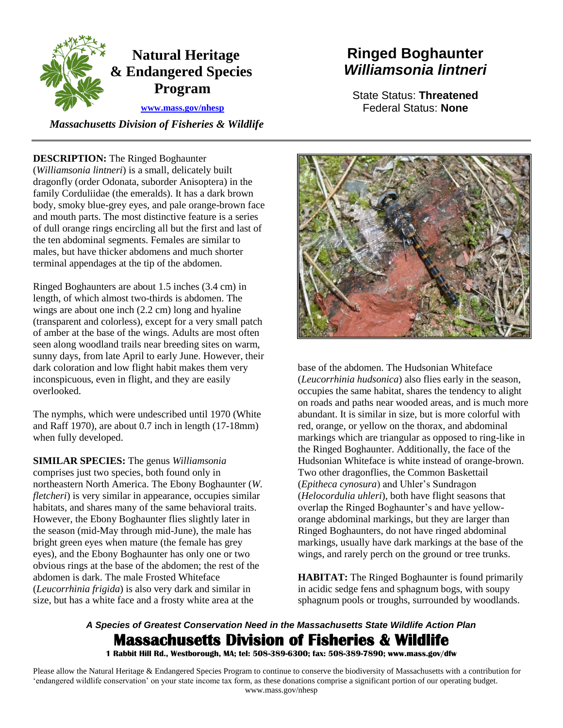

### *Massachusetts Division of Fisheries & Wildlife*

### **DESCRIPTION:** The Ringed Boghaunter

 (*Williamsonia lintneri*) is a small, delicately built of dull orange rings encircling all but the first and last of terminal appendages at the tip of the abdomen. dragonfly (order Odonata, suborder Anisoptera) in the family Corduliidae (the emeralds). It has a dark brown body, smoky blue-grey eyes, and pale orange-brown face and mouth parts. The most distinctive feature is a series the ten abdominal segments. Females are similar to males, but have thicker abdomens and much shorter

 dark coloration and low flight habit makes them very Ringed Boghaunters are about 1.5 inches (3.4 cm) in length, of which almost two-thirds is abdomen. The wings are about one inch (2.2 cm) long and hyaline (transparent and colorless), except for a very small patch of amber at the base of the wings. Adults are most often seen along woodland trails near breeding sites on warm, sunny days, from late April to early June. However, their inconspicuous, even in flight, and they are easily overlooked.

The nymphs, which were undescribed until 1970 (White and Raff 1970), are about 0.7 inch in length (17-18mm) when fully developed.

 **SIMILAR SPECIES:** The genus *Williamsonia fletcheri*) is very similar in appearance, occupies similar obvious rings at the base of the abdomen; the rest of the size, but has a white face and a frosty white area at the comprises just two species, both found only in northeastern North America. The Ebony Boghaunter (*W.*  habitats, and shares many of the same behavioral traits. However, the Ebony Boghaunter flies slightly later in the season (mid-May through mid-June), the male has bright green eyes when mature (the female has grey eyes), and the Ebony Boghaunter has only one or two abdomen is dark. The male Frosted Whiteface (*Leucorrhinia frigida*) is also very dark and similar in

# **Ringed Boghaunter**  *Williamsonia lintneri*

State Status: **Threatened**  Federal Status: **None** 



 (*Leucorrhinia hudsonica*) also flies early in the season, wings, and rarely perch on the ground or tree trunks. dark coloration and low flight habit makes them very<br>
inconspicuous, even in flight, and they are easily<br>
overlooked.<br>
(*Leucorrhimia hudsonica*) also flies early in the<br>
orcoupies the same habitat, shares the tendency to<br> occupies the same habitat, shares the tendency to alight on roads and paths near wooded areas, and is much more abundant. It is similar in size, but is more colorful with red, orange, or yellow on the thorax, and abdominal markings which are triangular as opposed to ring-like in the Ringed Boghaunter. Additionally, the face of the Hudsonian Whiteface is white instead of orange-brown. Two other dragonflies, the Common Baskettail (*Epitheca cynosura*) and Uhler's Sundragon (*Helocordulia uhleri*), both have flight seasons that overlap the Ringed Boghaunter's and have yelloworange abdominal markings, but they are larger than Ringed Boghaunters, do not have ringed abdominal markings, usually have dark markings at the base of the

**HABITAT:** The Ringed Boghaunter is found primarily in acidic sedge fens and sphagnum bogs, with soupy sphagnum pools or troughs, surrounded by woodlands.

## *A Species of Greatest Conservation Need in the Massachusetts State Wildlife Action Plan*  **Massachusetts Division of Fisheries & Wildlife**

 **1 Rabbit Hill Rd., Westborough, MA; tel: 508-389-6300; fax: 508-389-7890; www.mass.gov/dfw** 

 Please allow the Natural Heritage & Endangered Species Program to continue to conserve the biodiversity of Massachusetts with a contribution for 'endangered wildlife conservation' on your state income tax form, as these donations comprise a significant portion of our operating budget. www.mass.gov/nhesp